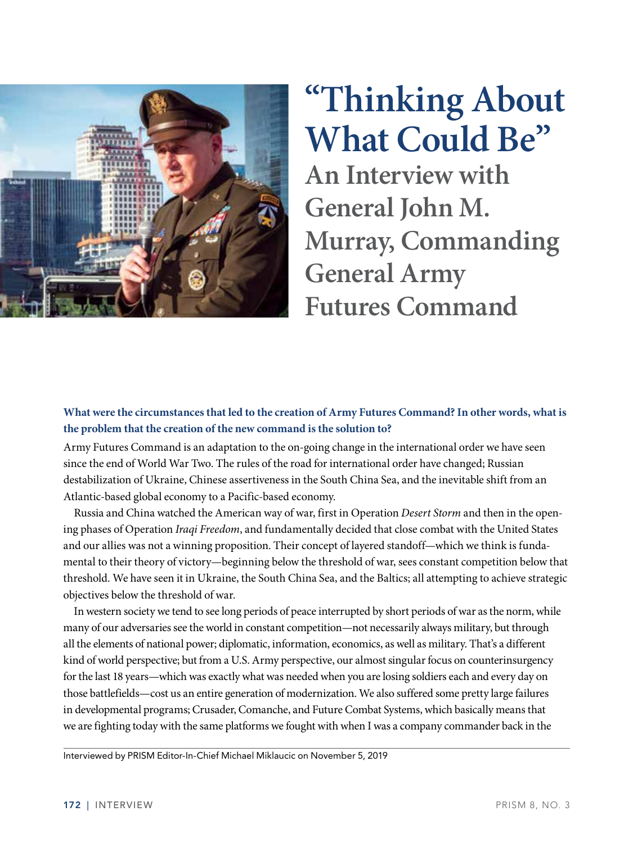

# **"Thinking About What Could Be"**

**An Interview with General John M. Murray, Commanding General Army Futures Command**

#### **What were the circumstances that led to the creation of Army Futures Command? In other words, what is the problem that the creation of the new command is the solution to?**

Army Futures Command is an adaptation to the on-going change in the international order we have seen since the end of World War Two. The rules of the road for international order have changed; Russian destabilization of Ukraine, Chinese assertiveness in the South China Sea, and the inevitable shift from an Atlantic-based global economy to a Pacific-based economy.

Russia and China watched the American way of war, first in Operation *Desert Storm* and then in the opening phases of Operation *Iraqi Freedom*, and fundamentally decided that close combat with the United States and our allies was not a winning proposition. Their concept of layered standoff—which we think is fundamental to their theory of victory—beginning below the threshold of war, sees constant competition below that threshold. We have seen it in Ukraine, the South China Sea, and the Baltics; all attempting to achieve strategic objectives below the threshold of war.

In western society we tend to see long periods of peace interrupted by short periods of war as the norm, while many of our adversaries see the world in constant competition—not necessarily always military, but through all the elements of national power; diplomatic, information, economics, as well as military. That's a different kind of world perspective; but from a U.S. Army perspective, our almost singular focus on counterinsurgency for the last 18 years—which was exactly what was needed when you are losing soldiers each and every day on those battlefields—cost us an entire generation of modernization. We also suffered some pretty large failures in developmental programs; Crusader, Comanche, and Future Combat Systems, which basically means that we are fighting today with the same platforms we fought with when I was a company commander back in the

Interviewed by PRISM Editor-In-Chief Michael Miklaucic on November 5, 2019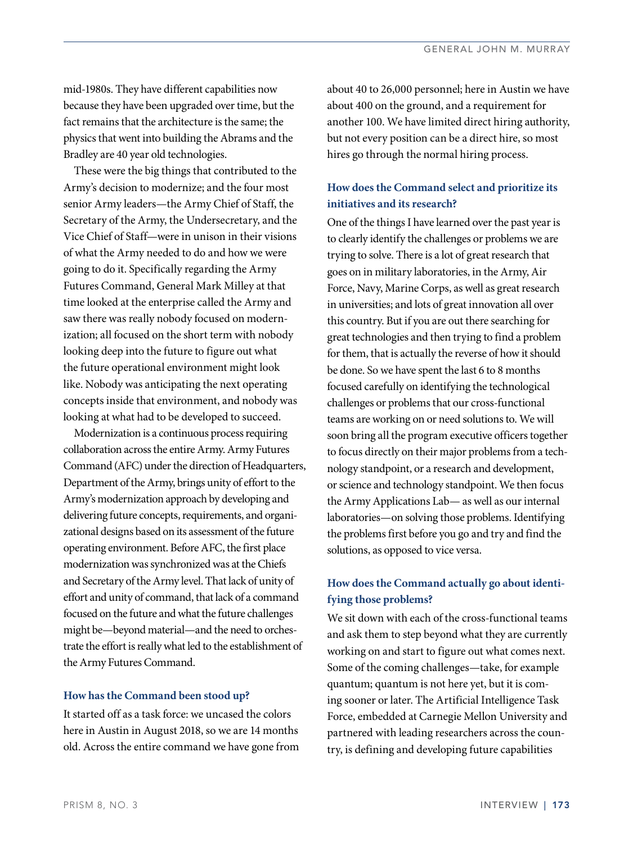mid-1980s. They have different capabilities now because they have been upgraded over time, but the fact remains that the architecture is the same; the physics that went into building the Abrams and the Bradley are 40 year old technologies.

These were the big things that contributed to the Army's decision to modernize; and the four most senior Army leaders—the Army Chief of Staff, the Secretary of the Army, the Undersecretary, and the Vice Chief of Staff—were in unison in their visions of what the Army needed to do and how we were going to do it. Specifically regarding the Army Futures Command, General Mark Milley at that time looked at the enterprise called the Army and saw there was really nobody focused on modernization; all focused on the short term with nobody looking deep into the future to figure out what the future operational environment might look like. Nobody was anticipating the next operating concepts inside that environment, and nobody was looking at what had to be developed to succeed.

Modernization is a continuous process requiring collaboration across the entire Army. Army Futures Command (AFC) under the direction of Headquarters, Department of the Army, brings unity of effort to the Army's modernization approach by developing and delivering future concepts, requirements, and organizational designs based on its assessment of the future operating environment. Before AFC, the first place modernization was synchronized was at the Chiefs and Secretary of the Army level. That lack of unity of effort and unity of command, that lack of a command focused on the future and what the future challenges might be—beyond material—and the need to orchestrate the effort is really what led to the establishment of the Army Futures Command.

#### **How has the Command been stood up?**

It started off as a task force: we uncased the colors here in Austin in August 2018, so we are 14 months old. Across the entire command we have gone from about 40 to 26,000 personnel; here in Austin we have about 400 on the ground, and a requirement for another 100. We have limited direct hiring authority, but not every position can be a direct hire, so most hires go through the normal hiring process.

#### **How does the Command select and prioritize its initiatives and its research?**

One of the things I have learned over the past year is to clearly identify the challenges or problems we are trying to solve. There is a lot of great research that goes on in military laboratories, in the Army, Air Force, Navy, Marine Corps, as well as great research in universities; and lots of great innovation all over this country. But if you are out there searching for great technologies and then trying to find a problem for them, that is actually the reverse of how it should be done. So we have spent the last 6 to 8 months focused carefully on identifying the technological challenges or problems that our cross-functional teams are working on or need solutions to. We will soon bring all the program executive officers together to focus directly on their major problems from a technology standpoint, or a research and development, or science and technology standpoint. We then focus the Army Applications Lab— as well as our internal laboratories—on solving those problems. Identifying the problems first before you go and try and find the solutions, as opposed to vice versa.

### **How does the Command actually go about identifying those problems?**

We sit down with each of the cross-functional teams and ask them to step beyond what they are currently working on and start to figure out what comes next. Some of the coming challenges—take, for example quantum; quantum is not here yet, but it is coming sooner or later. The Artificial Intelligence Task Force, embedded at Carnegie Mellon University and partnered with leading researchers across the country, is defining and developing future capabilities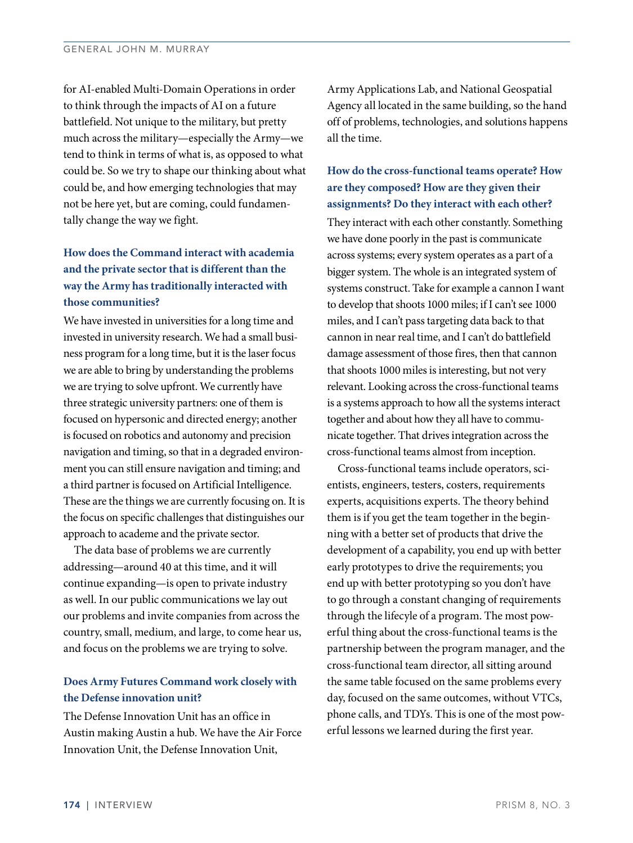for AI-enabled Multi-Domain Operations in order to think through the impacts of AI on a future battlefield. Not unique to the military, but pretty much across the military—especially the Army—we tend to think in terms of what is, as opposed to what could be. So we try to shape our thinking about what could be, and how emerging technologies that may not be here yet, but are coming, could fundamentally change the way we fight.

# **How does the Command interact with academia and the private sector that is different than the way the Army has traditionally interacted with those communities?**

We have invested in universities for a long time and invested in university research. We had a small business program for a long time, but it is the laser focus we are able to bring by understanding the problems we are trying to solve upfront. We currently have three strategic university partners: one of them is focused on hypersonic and directed energy; another is focused on robotics and autonomy and precision navigation and timing, so that in a degraded environment you can still ensure navigation and timing; and a third partner is focused on Artificial Intelligence. These are the things we are currently focusing on. It is the focus on specific challenges that distinguishes our approach to academe and the private sector.

The data base of problems we are currently addressing—around 40 at this time, and it will continue expanding—is open to private industry as well. In our public communications we lay out our problems and invite companies from across the country, small, medium, and large, to come hear us, and focus on the problems we are trying to solve.

#### **Does Army Futures Command work closely with the Defense innovation unit?**

The Defense Innovation Unit has an office in Austin making Austin a hub. We have the Air Force Innovation Unit, the Defense Innovation Unit,

Army Applications Lab, and National Geospatial Agency all located in the same building, so the hand off of problems, technologies, and solutions happens all the time.

#### **How do the cross-functional teams operate? How are they composed? How are they given their assignments? Do they interact with each other?**

They interact with each other constantly. Something we have done poorly in the past is communicate across systems; every system operates as a part of a bigger system. The whole is an integrated system of systems construct. Take for example a cannon I want to develop that shoots 1000 miles; if I can't see 1000 miles, and I can't pass targeting data back to that cannon in near real time, and I can't do battlefield damage assessment of those fires, then that cannon that shoots 1000 miles is interesting, but not very relevant. Looking across the cross-functional teams is a systems approach to how all the systems interact together and about how they all have to communicate together. That drives integration across the cross-functional teams almost from inception.

Cross-functional teams include operators, scientists, engineers, testers, costers, requirements experts, acquisitions experts. The theory behind them is if you get the team together in the beginning with a better set of products that drive the development of a capability, you end up with better early prototypes to drive the requirements; you end up with better prototyping so you don't have to go through a constant changing of requirements through the lifecyle of a program. The most powerful thing about the cross-functional teams is the partnership between the program manager, and the cross-functional team director, all sitting around the same table focused on the same problems every day, focused on the same outcomes, without VTCs, phone calls, and TDYs. This is one of the most powerful lessons we learned during the first year.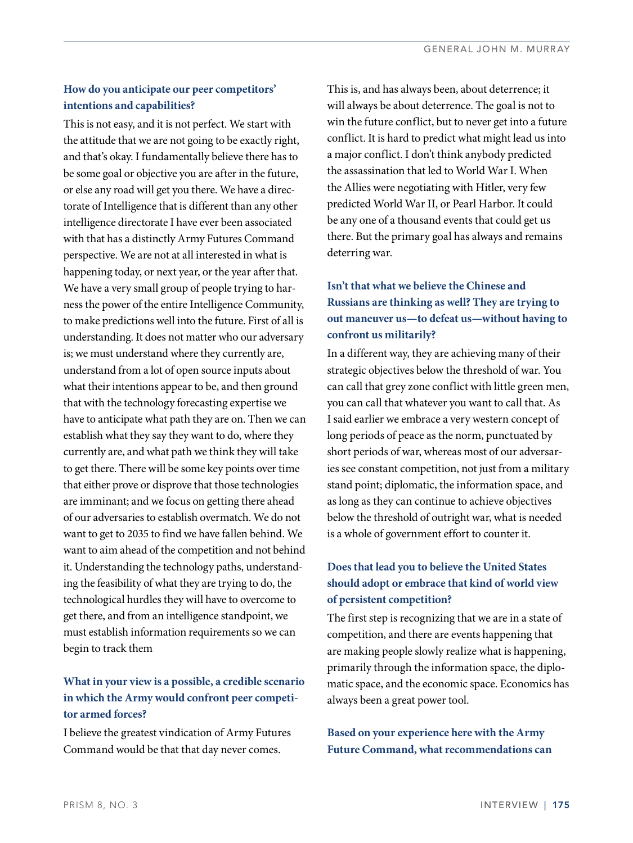#### **How do you anticipate our peer competitors' intentions and capabilities?**

This is not easy, and it is not perfect. We start with the attitude that we are not going to be exactly right, and that's okay. I fundamentally believe there has to be some goal or objective you are after in the future, or else any road will get you there. We have a directorate of Intelligence that is different than any other intelligence directorate I have ever been associated with that has a distinctly Army Futures Command perspective. We are not at all interested in what is happening today, or next year, or the year after that. We have a very small group of people trying to harness the power of the entire Intelligence Community, to make predictions well into the future. First of all is understanding. It does not matter who our adversary is; we must understand where they currently are, understand from a lot of open source inputs about what their intentions appear to be, and then ground that with the technology forecasting expertise we have to anticipate what path they are on. Then we can establish what they say they want to do, where they currently are, and what path we think they will take to get there. There will be some key points over time that either prove or disprove that those technologies are imminant; and we focus on getting there ahead of our adversaries to establish overmatch. We do not want to get to 2035 to find we have fallen behind. We want to aim ahead of the competition and not behind it. Understanding the technology paths, understanding the feasibility of what they are trying to do, the technological hurdles they will have to overcome to get there, and from an intelligence standpoint, we must establish information requirements so we can begin to track them

# **What in your view is a possible, a credible scenario in which the Army would confront peer competitor armed forces?**

I believe the greatest vindication of Army Futures Command would be that that day never comes.

This is, and has always been, about deterrence; it will always be about deterrence. The goal is not to win the future conflict, but to never get into a future conflict. It is hard to predict what might lead us into a major conflict. I don't think anybody predicted the assassination that led to World War I. When the Allies were negotiating with Hitler, very few predicted World War II, or Pearl Harbor. It could be any one of a thousand events that could get us there. But the primary goal has always and remains deterring war.

# **Isn't that what we believe the Chinese and Russians are thinking as well? They are trying to out maneuver us—to defeat us—without having to confront us militarily?**

In a different way, they are achieving many of their strategic objectives below the threshold of war. You can call that grey zone conflict with little green men, you can call that whatever you want to call that. As I said earlier we embrace a very western concept of long periods of peace as the norm, punctuated by short periods of war, whereas most of our adversaries see constant competition, not just from a military stand point; diplomatic, the information space, and as long as they can continue to achieve objectives below the threshold of outright war, what is needed is a whole of government effort to counter it.

# **Does that lead you to believe the United States should adopt or embrace that kind of world view of persistent competition?**

The first step is recognizing that we are in a state of competition, and there are events happening that are making people slowly realize what is happening, primarily through the information space, the diplomatic space, and the economic space. Economics has always been a great power tool.

**Based on your experience here with the Army Future Command, what recommendations can**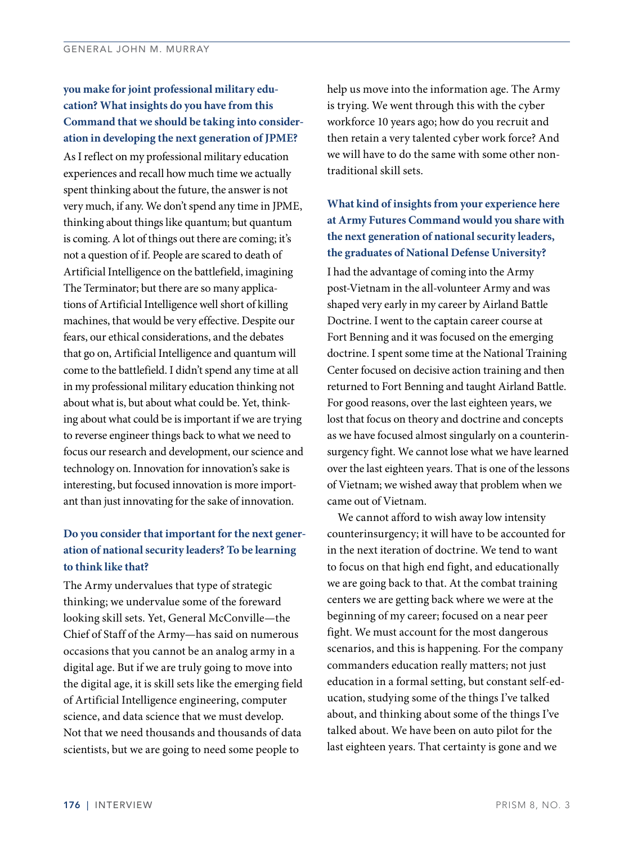**you make for joint professional military education? What insights do you have from this Command that we should be taking into consideration in developing the next generation of JPME?**  As I reflect on my professional military education experiences and recall how much time we actually spent thinking about the future, the answer is not very much, if any. We don't spend any time in JPME, thinking about things like quantum; but quantum is coming. A lot of things out there are coming; it's not a question of if. People are scared to death of Artificial Intelligence on the battlefield, imagining The Terminator; but there are so many applications of Artificial Intelligence well short of killing machines, that would be very effective. Despite our fears, our ethical considerations, and the debates that go on, Artificial Intelligence and quantum will come to the battlefield. I didn't spend any time at all in my professional military education thinking not about what is, but about what could be. Yet, thinking about what could be is important if we are trying to reverse engineer things back to what we need to focus our research and development, our science and technology on. Innovation for innovation's sake is interesting, but focused innovation is more important than just innovating for the sake of innovation.

# **Do you consider that important for the next generation of national security leaders? To be learning to think like that?**

The Army undervalues that type of strategic thinking; we undervalue some of the foreward looking skill sets. Yet, General McConville—the Chief of Staff of the Army—has said on numerous occasions that you cannot be an analog army in a digital age. But if we are truly going to move into the digital age, it is skill sets like the emerging field of Artificial Intelligence engineering, computer science, and data science that we must develop. Not that we need thousands and thousands of data scientists, but we are going to need some people to

help us move into the information age. The Army is trying. We went through this with the cyber workforce 10 years ago; how do you recruit and then retain a very talented cyber work force? And we will have to do the same with some other nontraditional skill sets.

# **What kind of insights from your experience here at Army Futures Command would you share with the next generation of national security leaders, the graduates of National Defense University?**

I had the advantage of coming into the Army post-Vietnam in the all-volunteer Army and was shaped very early in my career by Airland Battle Doctrine. I went to the captain career course at Fort Benning and it was focused on the emerging doctrine. I spent some time at the National Training Center focused on decisive action training and then returned to Fort Benning and taught Airland Battle. For good reasons, over the last eighteen years, we lost that focus on theory and doctrine and concepts as we have focused almost singularly on a counterinsurgency fight. We cannot lose what we have learned over the last eighteen years. That is one of the lessons of Vietnam; we wished away that problem when we came out of Vietnam.

We cannot afford to wish away low intensity counterinsurgency; it will have to be accounted for in the next iteration of doctrine. We tend to want to focus on that high end fight, and educationally we are going back to that. At the combat training centers we are getting back where we were at the beginning of my career; focused on a near peer fight. We must account for the most dangerous scenarios, and this is happening. For the company commanders education really matters; not just education in a formal setting, but constant self-education, studying some of the things I've talked about, and thinking about some of the things I've talked about. We have been on auto pilot for the last eighteen years. That certainty is gone and we